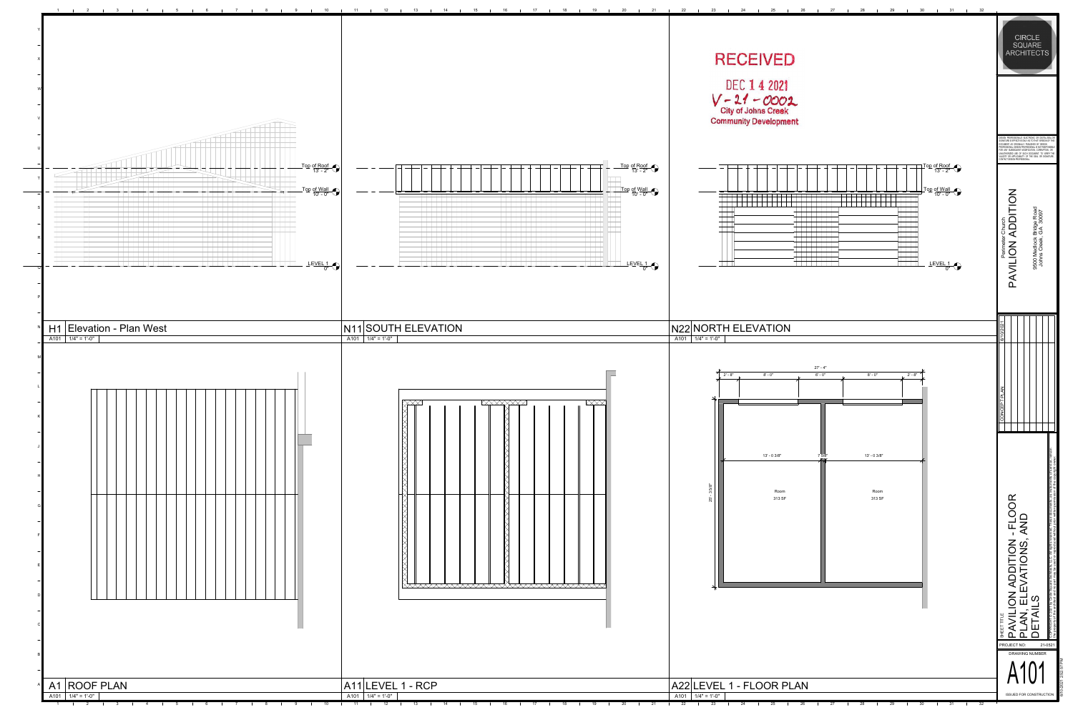the property of the architect and no part may be used or reproduced without prior written permission of the copyright owner.